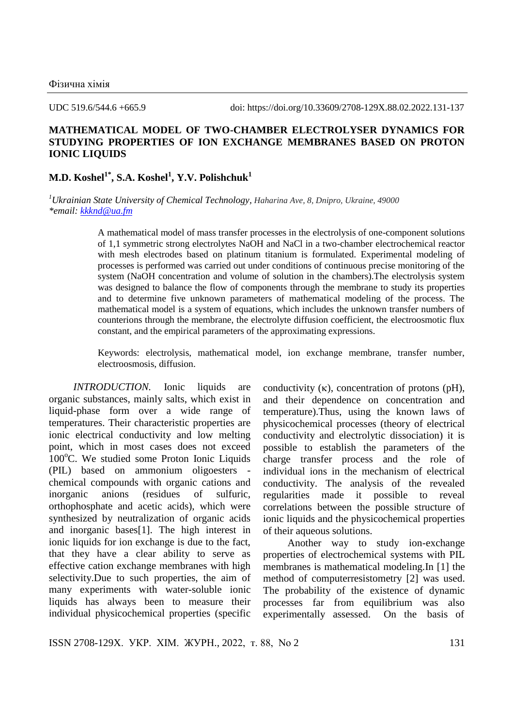UDC 519.6/544.6 +665.9 doi: https://doi.org/10.33609/2708-129X.88.02.2022.131-137

## **MATHEMATICAL MODEL OF TWO-CHAMBER ELECTROLYSER DYNAMICS FOR STUDYING PROPERTIES OF ION EXCHANGE MEMBRANES BASED ON PROTON IONIC LIQUIDS**

## **M.D. Koshel1\*, S.A. Koshel<sup>1</sup> , Y.V. Polishchuk<sup>1</sup>**

*<sup>1</sup>Ukrainian State University of Chemical Technology, Haharina Ave, 8, Dnipro, Ukraine, 49000 \*email: [kkknd@ua.fm](mailto:kkknd@ua.fm)*

> A mathematical model of mass transfer processes in the electrolysis of one-component solutions of 1,1 symmetric strong electrolytes NaOH and NaCl in a two-chamber electrochemical reactor with mesh electrodes based on platinum titanium is formulated. Experimental modeling of processes is performed was carried out under conditions of continuous precise monitoring of the system (NaOH concentration and volume of solution in the chambers).The electrolysis system was designed to balance the flow of components through the membrane to study its properties and to determine five unknown parameters of mathematical modeling of the process. The mathematical model is a system of equations, which includes the unknown transfer numbers of counterions through the membrane, the electrolyte diffusion coefficient, the electroosmotic flux constant, and the empirical parameters of the approximating expressions.

> Keywords: electrolysis, mathematical model, ion exchange membrane, transfer number, electroosmosis, diffusion.

*INTRODUCTION*. Ionic liquids are organic substances, mainly salts, which exist in liquid-phase form over a wide range of temperatures. Their characteristic properties are ionic electrical conductivity and low melting point, which in most cases does not exceed  $100^{\circ}$ C. We studied some Proton Ionic Liquids (PIL) based on ammonium oligoesters chemical compounds with organic cations and inorganic anions (residues of sulfuric, orthophosphate and acetic acids), which were synthesized by neutralization of organic acids and inorganic bases[1]. The high interest in ionic liquids for ion exchange is due to the fact, that they have a clear ability to serve as effective cation exchange membranes with high selectivity.Due to such properties, the aim of many experiments with water-soluble ionic liquids has always been to measure their individual physicochemical properties (specific

conductivity  $(\kappa)$ , concentration of protons (pH), and their dependence on concentration and temperature).Thus, using the known laws of physicochemical processes (theory of electrical conductivity and electrolytic dissociation) it is possible to establish the parameters of the charge transfer process and the role of individual ions in the mechanism of electrical conductivity. The analysis of the revealed regularities made it possible to reveal correlations between the possible structure of ionic liquids and the physicochemical properties of their aqueous solutions.

Another way to study ion-exchange properties of electrochemical systems with PIL membranes is mathematical modeling.In [1] the method of computerresistometry [2] was used. The probability of the existence of dynamic processes far from equilibrium was also experimentally assessed. On the basis of

ISSN 2708-129X. УКР. ХІМ. ЖУРН., 2022, т. 88, No 2 131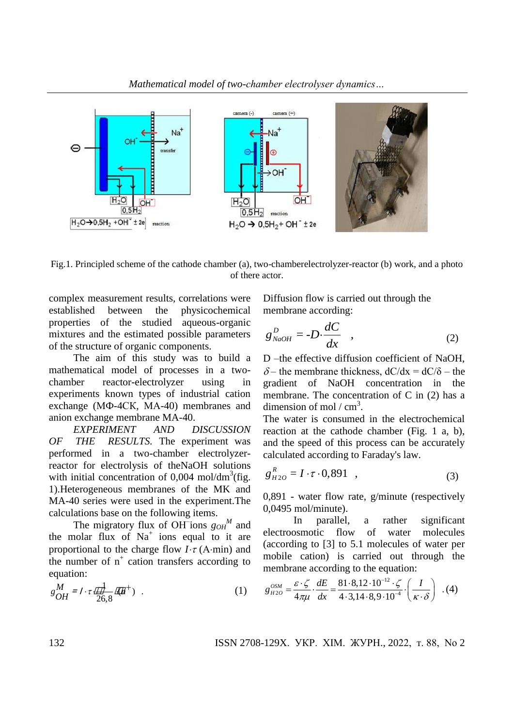

Fig.1. Principled scheme of the cathode chamber (a), two-chamberelectrolyzer-reactor (b) work, and a photo of there actor.

complex measurement results, correlations were established between the physicochemical properties of the studied aqueous-organic mixtures and the estimated possible parameters of the structure of organic components.

The aim of this study was to build a mathematical model of processes in a twochamber reactor-electrolyzer using in experiments known types of industrial cation exchange (МФ-4СК, МА-40) membranes and anion exchange membrane MA-40.

*EXPERIMENT AND DISCUSSION OF THE RESULTS.* The experiment was performed in a two-chamber electrolyzerreactor for electrolysis of theNaOH solutions with initial concentration of  $0,004$  mol/dm<sup>3</sup>(fig. 1).Heterogeneous membranes of the MK and MA-40 series were used in the experiment.The calculations base on the following items.

The migratory flux of OH ions  $g_{OH}^M$  and the molar flux of  $Na<sup>+</sup>$  ions equal to it are proportional to the charge flow  $I \cdot \tau$  (A-min) and the number of  $n^+$  cation transfers according to equation:

$$
g_{OH}^M = I \cdot \tau \cdot \frac{1}{26,8} \cdot (n^+) \quad . \tag{1}
$$

Diffusion flow is carried out through the membrane according:

$$
g_{NaOH}^D = -D \cdot \frac{dC}{dx} \quad , \tag{2}
$$

D –the effective diffusion coefficient of NaOH,  $\delta$  – the membrane thickness,  $dC/dx = dC/\delta$  – the gradient of NaOH concentration in the membrane. The concentration of C in (2) has a dimension of mol /  $cm<sup>3</sup>$ .

The water is consumed in the electrochemical reaction at the cathode chamber (Fig. 1 a, b), and the speed of this process can be accurately

calculated according to Faraday's law.  
\n
$$
g_{H2O}^{R} = I \cdot \tau \cdot 0,891 \quad , \tag{3}
$$

0,891 - water flow rate, g/minute (respectively 0,0495 mol/minute).

In parallel, a rather significant electroosmotic flow of water molecules (according to [3] to 5.1 molecules of water per mobile cation) is carried out through the

membrane according to the equation:  
\n
$$
g_{H2O}^{OSM} = \frac{\varepsilon \cdot \zeta}{4\pi\mu} \cdot \frac{dE}{dx} = \frac{81 \cdot 8,12 \cdot 10^{-12} \cdot \zeta}{4 \cdot 3,14 \cdot 8,9 \cdot 10^{-4}} \cdot \left(\frac{I}{\kappa \cdot \delta}\right)
$$
.(4)

132 ISSN 2708-129X. УКР. ХІМ. ЖУРН., 2022, т. 88, No 2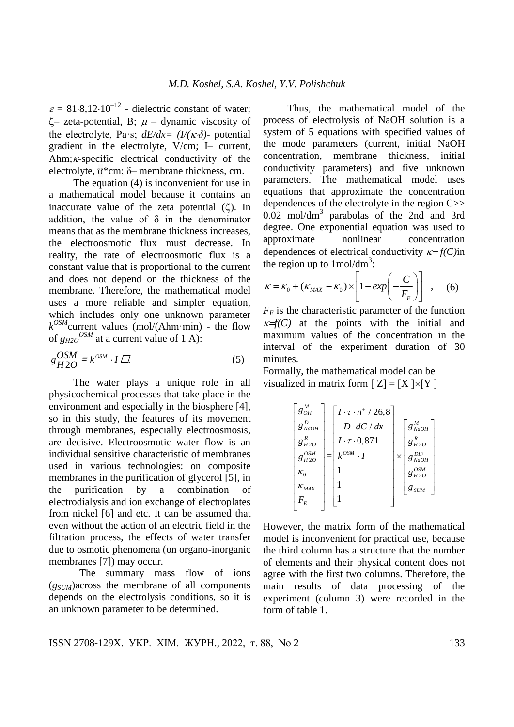$\varepsilon = 81.8,12.10^{-12}$  - dielectric constant of water;  $\zeta$ – zeta-potential, B;  $\mu$  – dynamic viscosity of the electrolyte, Pa·s;  $dE/dx = (I/(K\delta))$ - potential gradient in the electrolyte, V/cm; I– current, Ahm; $\kappa$ -specific electrical conductivity of the electrolyte,  $\bar{v}$ \*cm;  $\delta$ – membrane thickness, cm.

The equation (4) is inconvenient for use in a mathematical model because it contains an inaccurate value of the zeta potential  $(\zeta)$ . In addition, the value of  $\delta$  in the denominator means that as the membrane thickness increases, the electroosmotic flux must decrease. In reality, the rate of electroosmotic flux is a constant value that is proportional to the current and does not depend on the thickness of the membrane. Therefore, the mathematical model uses a more reliable and simpler equation, which includes only one unknown parameter  $k^{OSM}$ current values (mol/(Ahm·min) - the flow of  $g_{H2O}^{OSM}$  at a current value of 1 A):

$$
g_{H2O}^{OSM} = k^{o s M} \cdot I \quad . \tag{5}
$$

The water plays a unique role in all physicochemical processes that take place in the environment and especially in the biosphere [4], so in this study, the features of its movement through membranes, especially electroosmosis, are decisive. Electroosmotic water flow is an individual sensitive characteristic of membranes used in various technologies: on composite membranes in the purification of glycerol [5], in the purification by a combination of electrodialysis and ion exchange of electroplates from nickel [6] and etc. It can be assumed that even without the action of an electric field in the filtration process, the effects of water transfer due to osmotic phenomena (on organo-inorganic membranes [7]) may occur.

The summary mass flow of ions (*gSUM*)across the membrane of all components depends on the electrolysis conditions, so it is an unknown parameter to be determined.

Thus, the mathematical model of the process of electrolysis of NaOH solution is a system of 5 equations with specified values of the mode parameters (current, initial NaOH concentration, membrane thickness, initial conductivity parameters) and five unknown parameters. The mathematical model uses equations that approximate the concentration dependences of the electrolyte in the region C>> 0.02 mol/dm<sup>3</sup> parabolas of the 2nd and 3rd degree. One exponential equation was used to approximate nonlinear concentration dependences of electrical conductivity  $\kappa = f(C)$ in the region up to  $1 \text{mol/dm}^3$ :

the region up to 1 mol/dm<sup>3</sup>:  
\n
$$
\kappa = \kappa_0 + (\kappa_{\text{max}} - \kappa_0) \times \left[1 - \exp\left(-\frac{C}{F_E}\right)\right], \quad (6)
$$

 $F<sub>E</sub>$  is the characteristic parameter of the function  $f(E)$  at the points with the initial and maximum values of the concentration in the interval of the experiment duration of 30 minutes.

Formally, the mathematical model can be visualized in matrix form  $[Z] = [X] \times [Y]$ 

$$
\begin{bmatrix} g_{OH}^M \\ g_{NaOH}^D \\ g_{H2O}^R \\ g_{H2O}^{OSM} \\ g_{H2O}^{OSM} \\ \kappa_0 \\ \kappa_{MAX} \\ F_E \end{bmatrix} = \begin{bmatrix} I \cdot \tau \cdot n^+ / 26, 8 \\ -D \cdot dC / dx \\ I \cdot \tau \cdot 0, 871 \\ k^{OSM} \cdot I \\ 1 \\ 1 \\ 1 \end{bmatrix} \times \begin{bmatrix} g_{NaOH}^M \\ g_{H2O}^M \\ g_{NaOH}^B \\ g_{H2O}^{S}} \\ g_{H2O}^{S} \\ g_{SUM} \\ g_{SUM} \end{bmatrix}
$$

However, the matrix form of the mathematical model is inconvenient for practical use, because the third column has a structure that the number of elements and their physical content does not agree with the first two columns. Therefore, the main results of data processing of the experiment (column 3) were recorded in the form of table 1.

ISSN 2708-129X. УКР. ХІМ. ЖУРН., 2022, т. 88, No 2 133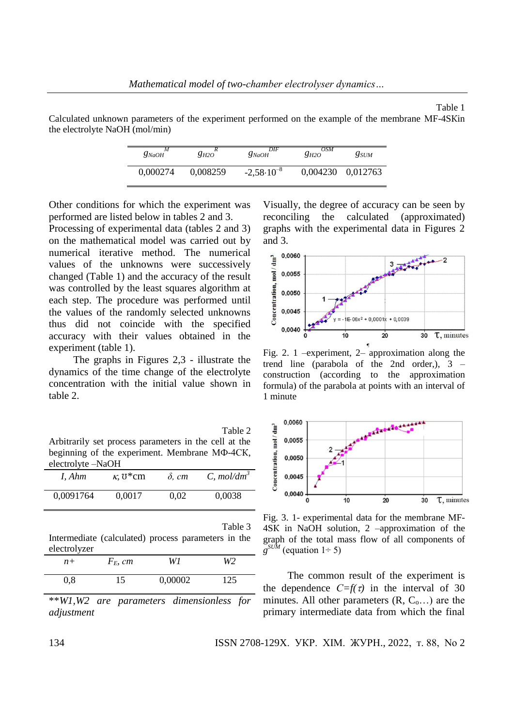Table 1 Calculated unknown parameters of the experiment performed on the example of the membrane МF-4SКin the electrolyte NaOH (mol/min)

| $g_{NaOH}$ | 8н20     | DIF<br>$g_{NaOH}$     | <i>OSM</i><br>8н20 | $g_{SIM}$         |
|------------|----------|-----------------------|--------------------|-------------------|
| 0.000274   | 0.008259 | $-2,58 \cdot 10^{-8}$ |                    | 0,004230 0,012763 |

Other conditions for which the experiment was performed are listed below in tables 2 and 3.

Processing of experimental data (tables 2 and 3) on the mathematical model was carried out by numerical iterative method. The numerical values of the unknowns were successively changed (Table 1) and the accuracy of the result was controlled by the least squares algorithm at each step. The procedure was performed until the values of the randomly selected unknowns thus did not coincide with the specified accuracy with their values obtained in the experiment (table 1).

The graphs in Figures 2,3 - illustrate the dynamics of the time change of the electrolyte concentration with the initial value shown in table 2.

Table 2 Arbitrarily set process parameters in the cell at the beginning of the experiment. Membrane МФ-4СК, electrolyte –NaOH

| I. Ahm    | $\kappa$ , $\sigma$ <sup>*</sup> cm | $\delta$ , cm | C, mol/dm <sup>3</sup> |
|-----------|-------------------------------------|---------------|------------------------|
| 0,0091764 | 0.0017                              | 0.02          | 0.0038                 |

Table 3

Intermediate (calculated) process parameters in the electrolyzer

| $n+$ | $F_E$ , cm | W1      | W2  |
|------|------------|---------|-----|
| 0,8  | 15         | 0,00002 | 125 |

\*\**W1,W2 are parameters dimensionless for adjustment*

Visually, the degree of accuracy can be seen by reconciling the calculated (approximated) graphs with the experimental data in Figures 2 and 3.



Fig. 2. 1 –experiment, 2– approximation along the trend line (parabola of the 2nd order,), 3 – construction (according to the approximation formula) of the parabola at points with an interval of 1 minute



Fig. 3. 1- experimental data for the membrane МF-4SК in NaOH solution, 2 –approximation of the graph of the total mass flow of all components of  $g^{SUM}$  (equation 1÷ 5)

The common result of the experiment is the dependence  $C=f(\tau)$  in the interval of 30 minutes. All other parameters  $(R, C_0, \ldots)$  are the primary intermediate data from which the final

134 ISSN 2708-129X. УКР. ХІМ. ЖУРН., 2022, т. 88, No 2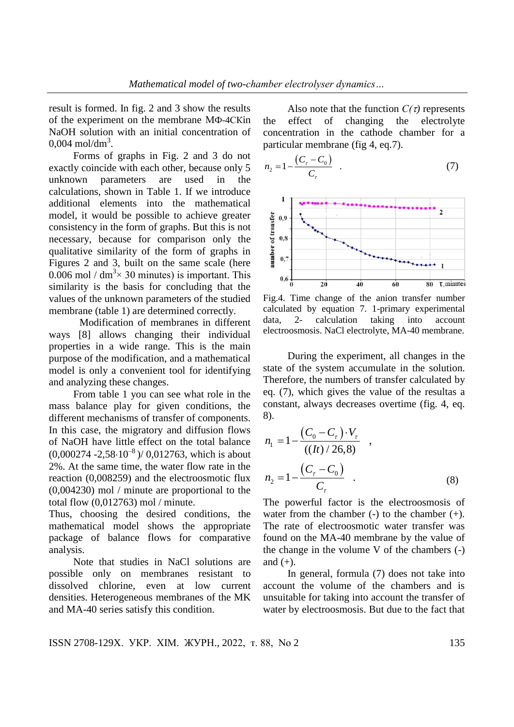result is formed. In fig. 2 and 3 show the results of the experiment on the membrane МФ-4СКin NaOH solution with an initial concentration of  $0,004 \text{ mol/dm}^3$ .

Forms of graphs in Fig. 2 and 3 do not exactly coincide with each other, because only 5 unknown parameters are used in the calculations, shown in Table 1. If we introduce additional elements into the mathematical model, it would be possible to achieve greater consistency in the form of graphs. But this is not necessary, because for comparison only the qualitative similarity of the form of graphs in Figures 2 and 3, built on the same scale (here 0.006 mol /  $dm<sup>3</sup> \times 30$  minutes) is important. This similarity is the basis for concluding that the values of the unknown parameters of the studied membrane (table 1) are determined correctly.

Modification of membranes in different ways [8] allows changing their individual properties in a wide range. This is the main purpose of the modification, and a mathematical model is only a convenient tool for identifying and analyzing these changes.

From table 1 you can see what role in the mass balance play for given conditions, the different mechanisms of transfer of components. In this case, the migratory and diffusion flows of NaOH have little effect on the total balance  $(0.000274 - 2.58 \cdot 10^{-8}) / (0.012763)$ , which is about 2%. At the same time, the water flow rate in the reaction (0,008259) and the electroosmotic flux (0,004230) mol / minute are proportional to the total flow (0,012763) mol / minute.

Thus, choosing the desired conditions, the mathematical model shows the appropriate package of balance flows for comparative analysis.

Note that studies in NaCl solutions are possible only on membranes resistant to dissolved chlorine, even at low current densities. Heterogeneous membranes of the MK and MA-40 series satisfy this condition.

Also note that the function  $C(\tau)$  represents the effect of changing the electrolyte concentration in the cathode chamber for a particular membrane (fig 4, eq.7).

$$
n_2 = 1 - \frac{(C_r - C_0)}{C_r}
$$
 (7)



Fig.4. Time change of the anion transfer number calculated by equation 7. 1-primary experimental data, 2- calculation taking into account electroosmosis. NaCl electrolyte, MA-40 membrane.

During the experiment, all changes in the state of the system accumulate in the solution. Therefore, the numbers of transfer calculated by eq. (7), which gives the value of the resultas a constant, always decreases overtime (fig. 4, eq. 8).

$$
n_1 = 1 - \frac{(C_0 - C_\tau) \cdot V_\tau}{((It) / 26.8)},
$$
  
\n
$$
n_2 = 1 - \frac{(C_\tau - C_0)}{C_\tau}.
$$
 (8)

The powerful factor is the electroosmosis of water from the chamber  $(-)$  to the chamber  $(+)$ . The rate of electroosmotic water transfer was found on the MA-40 membrane by the value of the change in the volume V of the chambers (-) and  $(+)$ .

In general, formula (7) does not take into account the volume of the chambers and is unsuitable for taking into account the transfer of water by electroosmosis. But due to the fact that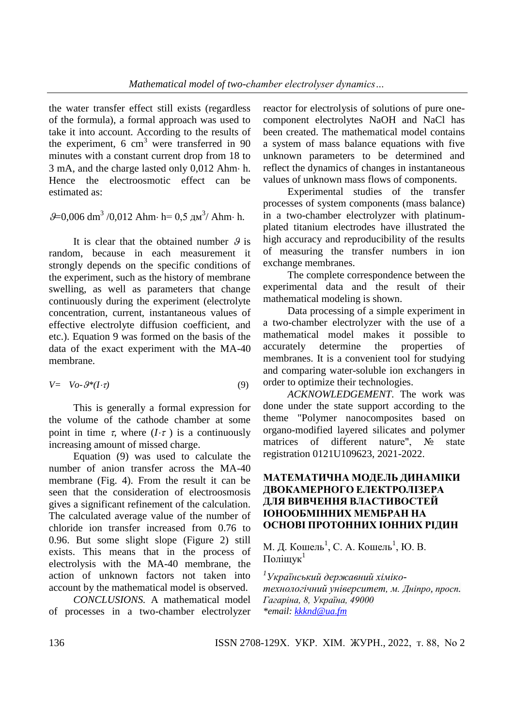the water transfer effect still exists (regardless of the formula), a formal approach was used to take it into account. According to the results of the experiment, 6  $cm<sup>3</sup>$  were transferred in 90 minutes with a constant current drop from 18 to  $3$  mA, and the charge lasted only  $0,012$  Ahm $\cdot$  h. Hence the electroosmotic effect can be estimated as:

 $\mathcal{G}$ =0,006 dm<sup>3</sup>/0,012 Ahm· h= 0,5 дм<sup>3</sup>/ Ahm· h.

It is clear that the obtained number  $\theta$  is random, because in each measurement it strongly depends on the specific conditions of the experiment, such as the history of membrane swelling, as well as parameters that change continuously during the experiment (electrolyte concentration, current, instantaneous values of effective electrolyte diffusion coefficient, and etc.). Equation 9 was formed on the basis of the data of the exact experiment with the MA-40 membrane.

$$
V = V_0 - \mathcal{G}^*(I \cdot \tau) \tag{9}
$$

This is generally a formal expression for the volume of the cathode chamber at some point in time  $\tau$ , where  $(I \cdot \tau)$  is a continuously increasing amount of missed charge.

Equation (9) was used to calculate the number of anion transfer across the MA-40 membrane (Fig. 4). From the result it can be seen that the consideration of electroosmosis gives a significant refinement of the calculation. The calculated average value of the number of chloride ion transfer increased from 0.76 to 0.96. But some slight slope (Figure 2) still exists. This means that in the process of electrolysis with the MA-40 membrane, the action of unknown factors not taken into account by the mathematical model is observed.

*CONCLUSIONS.* A mathematical model of processes in a two-chamber electrolyzer

reactor for electrolysis of solutions of pure onecomponent electrolytes NaOH and NaCl has been created. The mathematical model contains a system of mass balance equations with five unknown parameters to be determined and reflect the dynamics of changes in instantaneous values of unknown mass flows of components.

Experimental studies of the transfer processes of system components (mass balance) in a two-chamber electrolyzer with platinumplated titanium electrodes have illustrated the high accuracy and reproducibility of the results of measuring the transfer numbers in ion exchange membranes.

The complete correspondence between the experimental data and the result of their mathematical modeling is shown.

Data processing of a simple experiment in a two-chamber electrolyzer with the use of a mathematical model makes it possible to accurately determine the properties of membranes. It is a convenient tool for studying and comparing water-soluble ion exchangers in order to optimize their technologies.

*ACKNOWLEDGEMENT.* The work was done under the state support according to the theme "Polymer nanocomposites based on organo-modified layered silicates and polymer matrices of different nature", № state registration 0121U109623, 2021-2022.

## **МАТЕМАТИЧНА МОДЕЛЬ ДИНАМІКИ ДВОКАМЕРНОГО ЕЛЕКТРОЛІЗЕРА ДЛЯ ВИВЧЕННЯ ВЛАСТИВОСТЕЙ ІОНООБМІННИХ МЕМБРАН НА ОСНОВІ ПРОТОННИХ ІОННИХ РІДИН**

М. Д. Кошель<sup>1</sup>, С. А. Кошель<sup>1</sup>, Ю. В. Поліщук $1$ 

*<sup>1</sup>Український державний хімікотехнологічний університет, м. [Дніпро,](https://uk.wikipedia.org/wiki/%D0%94%D0%BD%D1%96%D0%BF%D1%80%D0%BE_(%D0%BC%D1%96%D1%81%D1%82%D0%BE)) [просп.](https://uk.wikipedia.org/wiki/%D0%9F%D1%80%D0%BE%D1%81%D0%BF%D0%B5%D0%BA%D1%82_%D0%93%D0%B0%D0%B3%D0%B0%D1%80%D1%96%D0%BD%D0%B0_(%D0%94%D0%BD%D1%96%D0%BF%D1%80%D0%BE))  [Гагаріна,](https://uk.wikipedia.org/wiki/%D0%9F%D1%80%D0%BE%D1%81%D0%BF%D0%B5%D0%BA%D1%82_%D0%93%D0%B0%D0%B3%D0%B0%D1%80%D1%96%D0%BD%D0%B0_(%D0%94%D0%BD%D1%96%D0%BF%D1%80%D0%BE)) 8, Україна, 49000 \*email: [kkknd@ua.fm](mailto:kkknd@ua.fm)*